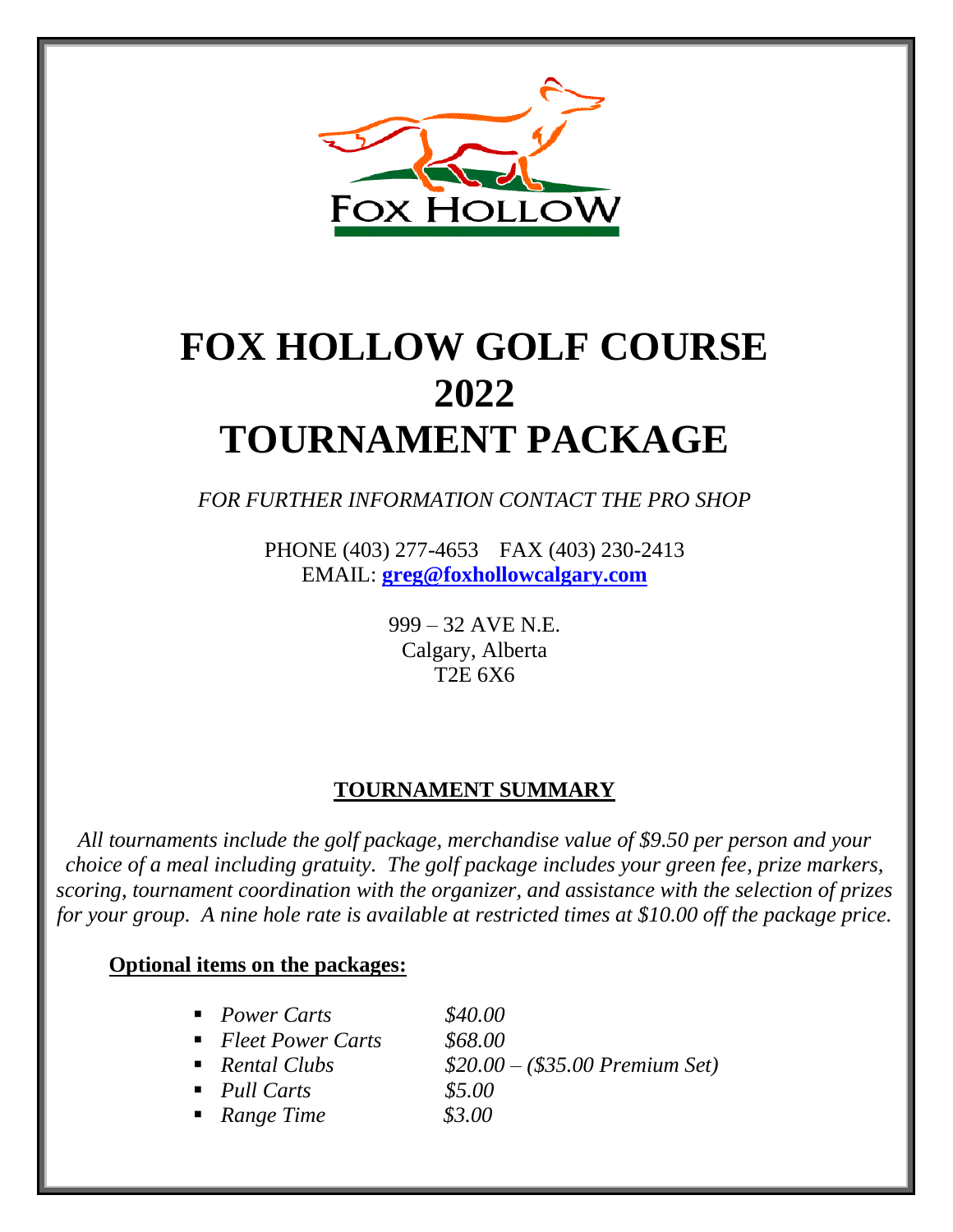

# **FOX HOLLOW GOLF COURSE 2022 TOURNAMENT PACKAGE**

*FOR FURTHER INFORMATION CONTACT THE PRO SHOP*

PHONE (403) 277-4653 FAX (403) 230-2413 EMAIL: **[greg@foxhollowcalgary.com](mailto:greg@foxhollowcalgary.com)**

> 999 – 32 AVE N.E. Calgary, Alberta T2E 6X6

## **TOURNAMENT SUMMARY**

*All tournaments include the golf package, merchandise value of \$9.50 per person and your choice of a meal including gratuity. The golf package includes your green fee, prize markers, scoring, tournament coordination with the organizer, and assistance with the selection of prizes for your group. A nine hole rate is available at restricted times at \$10.00 off the package price.*

### **Optional items on the packages:**

| $\blacksquare$ Power Carts       | \$40.00                         |
|----------------------------------|---------------------------------|
| $\blacksquare$ Fleet Power Carts | \$68.00                         |
| $\blacksquare$ Rental Clubs      | $$20.00 - ($35.00$ Premium Set) |
| $\n  Pull Carts\n$               | \$5.00                          |
| • Range Time                     | \$3.00                          |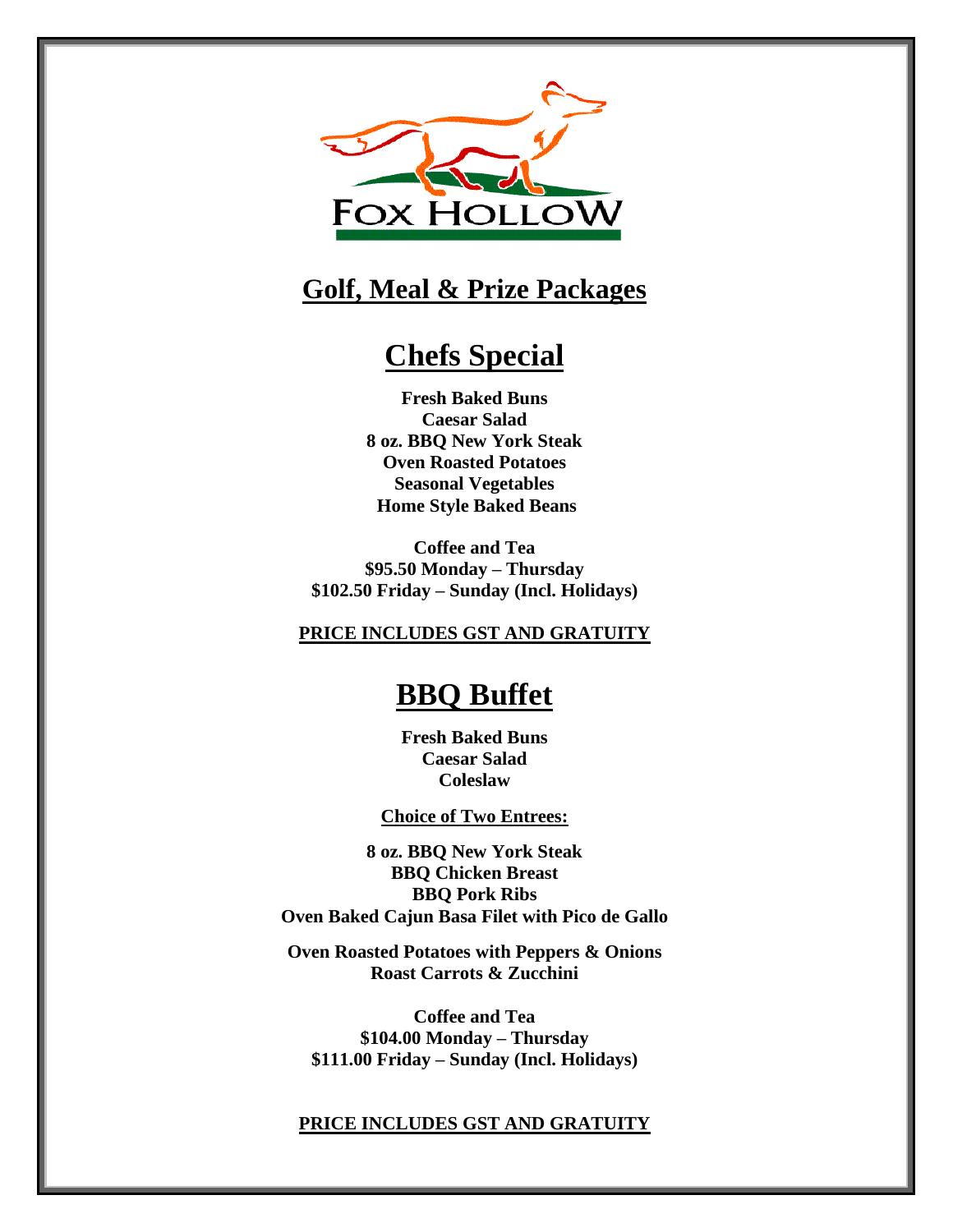

## **Golf, Meal & Prize Packages**

## **Chefs Special**

**Fresh Baked Buns Caesar Salad 8 oz. BBQ New York Steak Oven Roasted Potatoes Seasonal Vegetables Home Style Baked Beans**

**Coffee and Tea \$95.50 Monday – Thursday \$102.50 Friday – Sunday (Incl. Holidays)**

### **PRICE INCLUDES GST AND GRATUITY**

## **BBQ Buffet**

**Fresh Baked Buns Caesar Salad Coleslaw**

**Choice of Two Entrees:**

**8 oz. BBQ New York Steak BBQ Chicken Breast BBQ Pork Ribs Oven Baked Cajun Basa Filet with Pico de Gallo**

**Oven Roasted Potatoes with Peppers & Onions Roast Carrots & Zucchini**

**Coffee and Tea \$104.00 Monday – Thursday \$111.00 Friday – Sunday (Incl. Holidays)**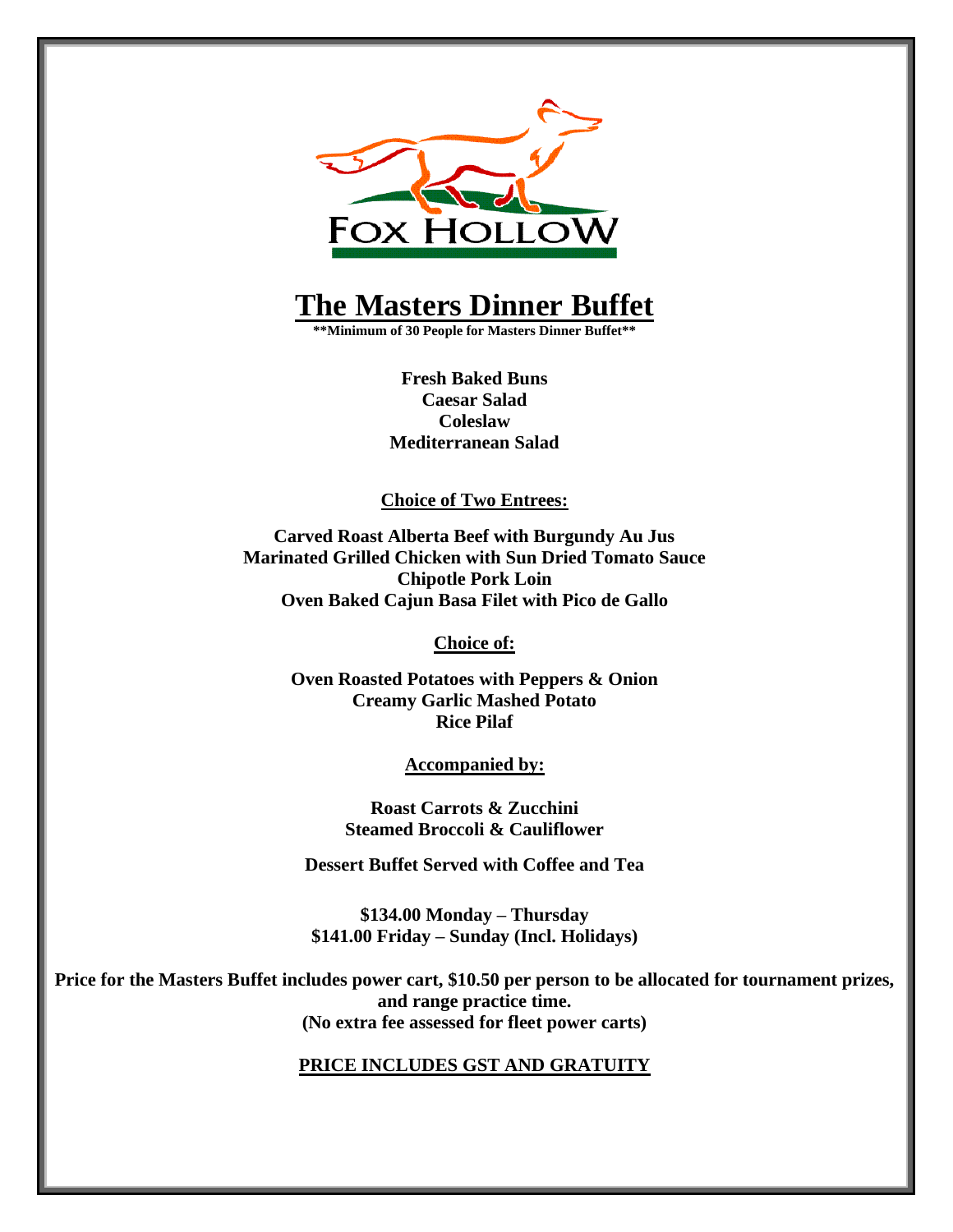

## **The Masters Dinner Buffet**

**\*\*Minimum of 30 People for Masters Dinner Buffet\*\***

**Fresh Baked Buns Caesar Salad Coleslaw Mediterranean Salad**

#### **Choice of Two Entrees:**

**Carved Roast Alberta Beef with Burgundy Au Jus Marinated Grilled Chicken with Sun Dried Tomato Sauce Chipotle Pork Loin Oven Baked Cajun Basa Filet with Pico de Gallo**

**Choice of:**

**Oven Roasted Potatoes with Peppers & Onion Creamy Garlic Mashed Potato Rice Pilaf**

**Accompanied by:**

**Roast Carrots & Zucchini Steamed Broccoli & Cauliflower**

**Dessert Buffet Served with Coffee and Tea**

**\$134.00 Monday – Thursday \$141.00 Friday – Sunday (Incl. Holidays)**

**Price for the Masters Buffet includes power cart, \$10.50 per person to be allocated for tournament prizes, and range practice time. (No extra fee assessed for fleet power carts)**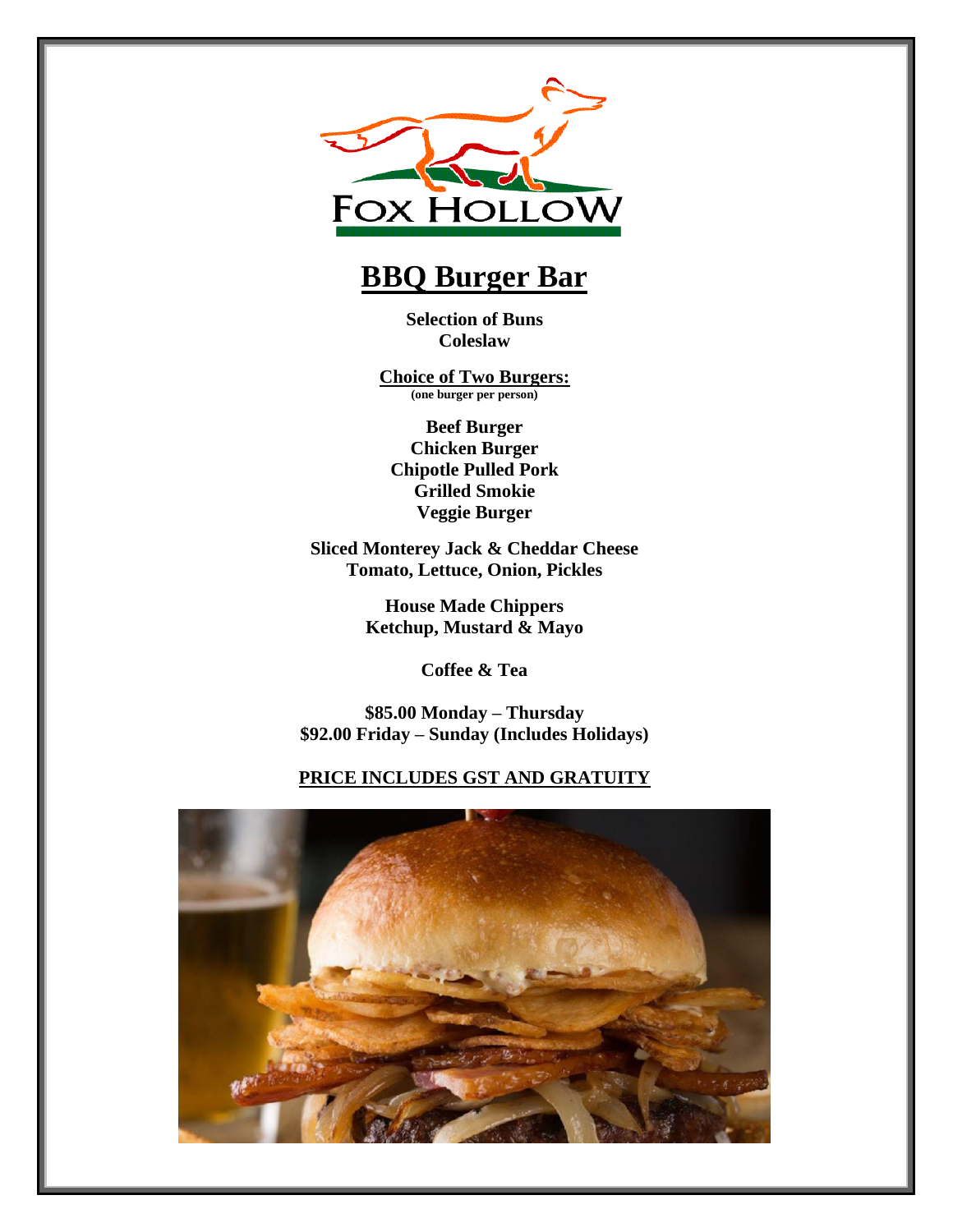

## **BBQ Burger Bar**

**Selection of Buns Coleslaw**

**Choice of Two Burgers: (one burger per person)**

**Beef Burger Chicken Burger Chipotle Pulled Pork Grilled Smokie Veggie Burger**

**Sliced Monterey Jack & Cheddar Cheese Tomato, Lettuce, Onion, Pickles**

> **House Made Chippers Ketchup, Mustard & Mayo**

> > **Coffee & Tea**

**\$85.00 Monday – Thursday \$92.00 Friday – Sunday (Includes Holidays)**

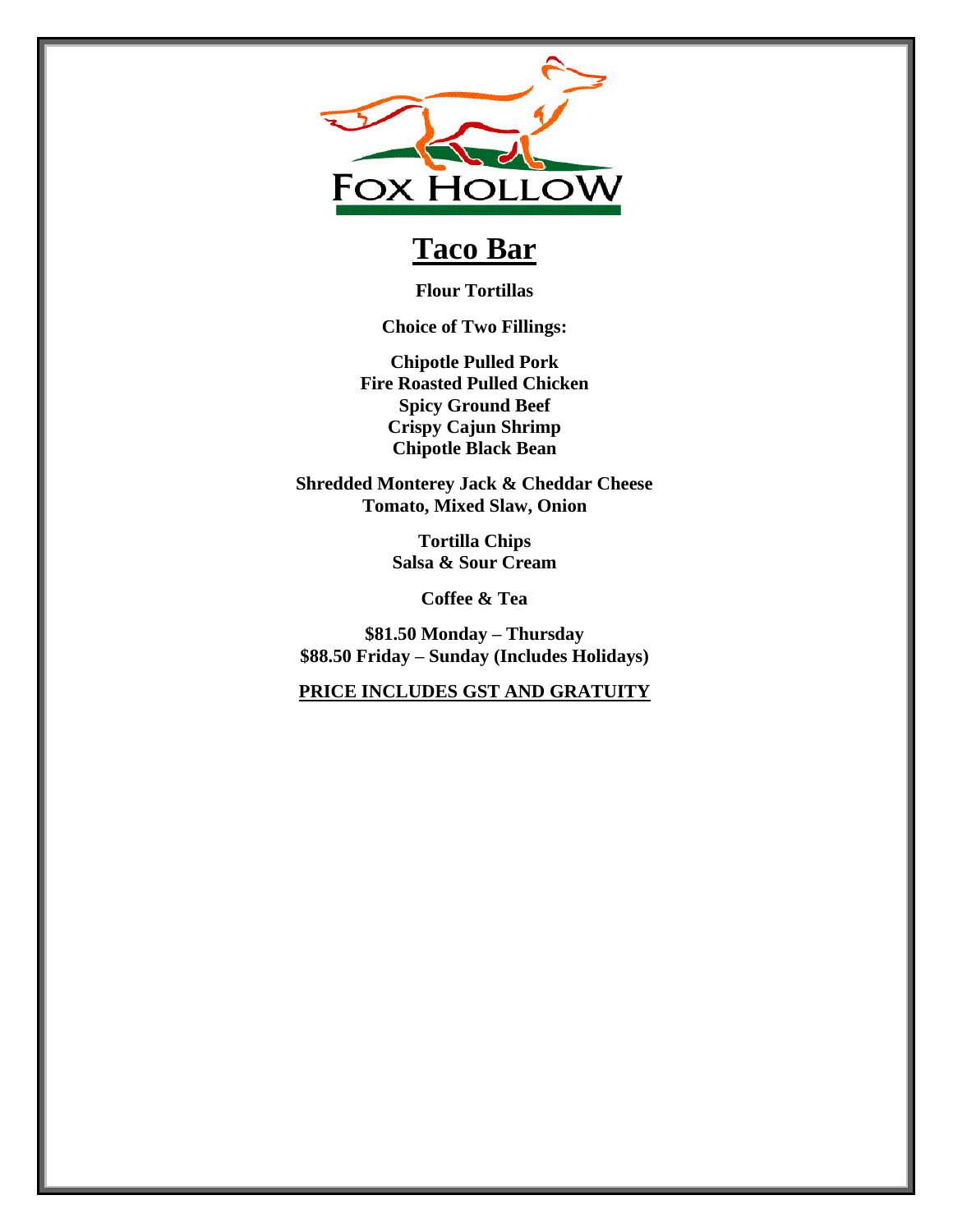

## **Taco Bar**

**Flour Tortillas**

**Choice of Two Fillings:**

**Chipotle Pulled Pork Fire Roasted Pulled Chicken Spicy Ground Beef Crispy Cajun Shrimp Chipotle Black Bean** 

**Shredded Monterey Jack & Cheddar Cheese Tomato, Mixed Slaw, Onion**

> **Tortilla Chips Salsa & Sour Cream**

> > **Coffee & Tea**

**\$81.50 Monday – Thursday \$88.50 Friday – Sunday (Includes Holidays)**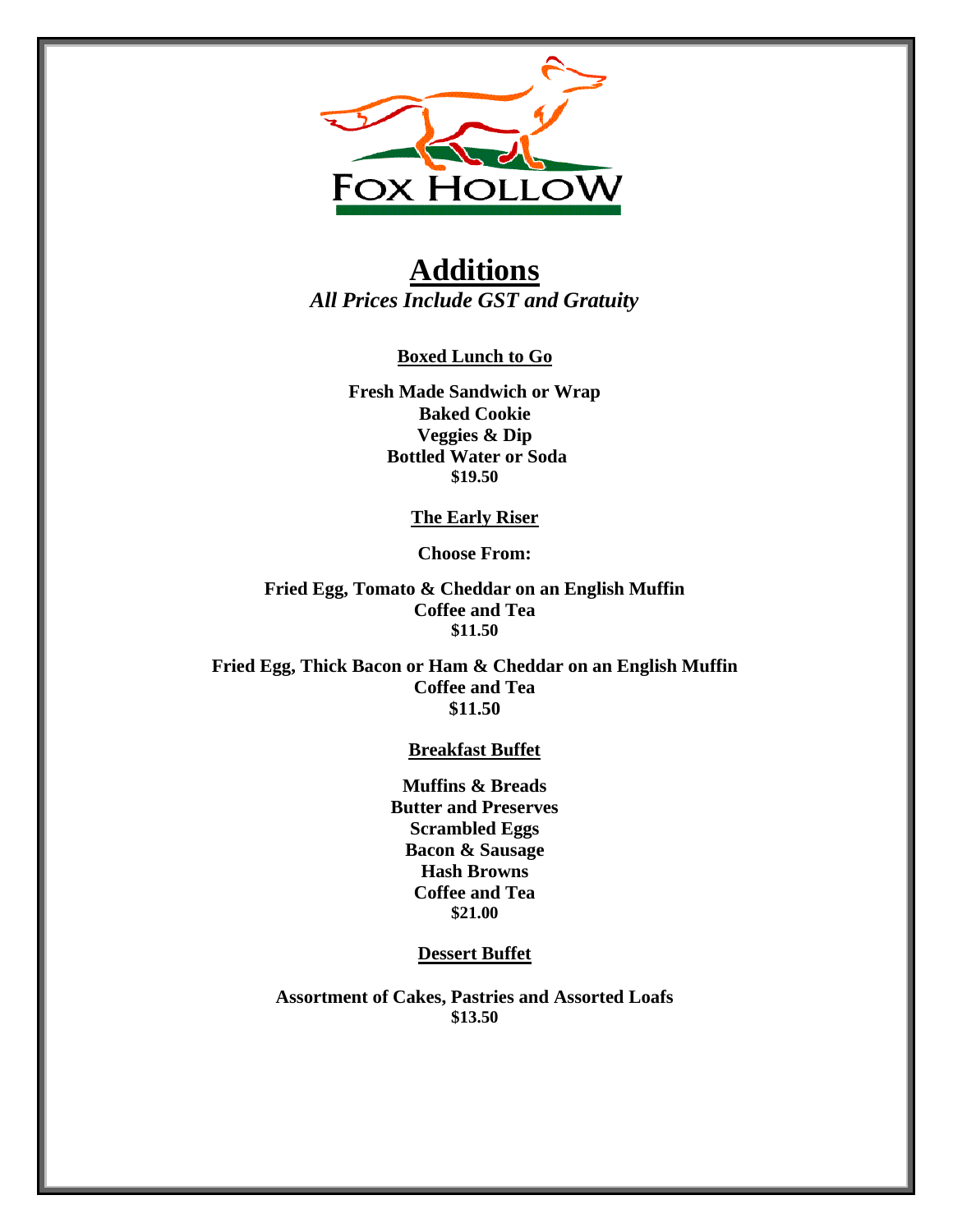

## **Additions** *All Prices Include GST and Gratuity*

**Boxed Lunch to Go**

**Fresh Made Sandwich or Wrap Baked Cookie Veggies & Dip Bottled Water or Soda \$19.50**

**The Early Riser**

**Choose From:**

**Fried Egg, Tomato & Cheddar on an English Muffin Coffee and Tea \$11.50**

**Fried Egg, Thick Bacon or Ham & Cheddar on an English Muffin Coffee and Tea \$11.50**

#### **Breakfast Buffet**

**Muffins & Breads Butter and Preserves Scrambled Eggs Bacon & Sausage Hash Browns Coffee and Tea \$21.00**

**Dessert Buffet**

**Assortment of Cakes, Pastries and Assorted Loafs \$13.50**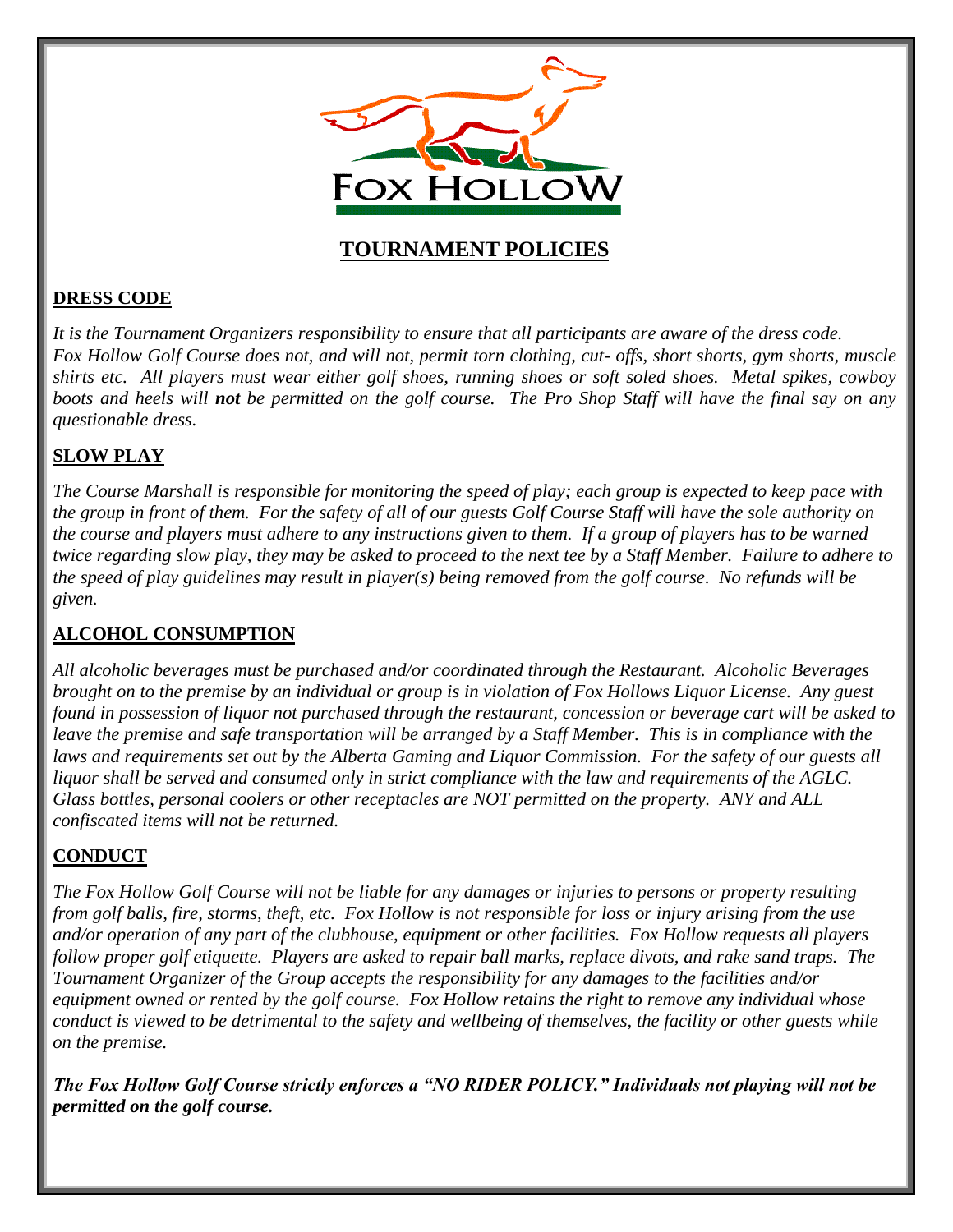

## **TOURNAMENT POLICIES**

### **DRESS CODE**

*It is the Tournament Organizers responsibility to ensure that all participants are aware of the dress code. Fox Hollow Golf Course does not, and will not, permit torn clothing, cut- offs, short shorts, gym shorts, muscle shirts etc. All players must wear either golf shoes, running shoes or soft soled shoes. Metal spikes, cowboy boots and heels will not be permitted on the golf course. The Pro Shop Staff will have the final say on any questionable dress.*

### **SLOW PLAY**

*The Course Marshall is responsible for monitoring the speed of play; each group is expected to keep pace with the group in front of them. For the safety of all of our guests Golf Course Staff will have the sole authority on the course and players must adhere to any instructions given to them. If a group of players has to be warned twice regarding slow play, they may be asked to proceed to the next tee by a Staff Member. Failure to adhere to the speed of play guidelines may result in player(s) being removed from the golf course. No refunds will be given.*

## **ALCOHOL CONSUMPTION**

*All alcoholic beverages must be purchased and/or coordinated through the Restaurant. Alcoholic Beverages brought on to the premise by an individual or group is in violation of Fox Hollows Liquor License. Any guest found in possession of liquor not purchased through the restaurant, concession or beverage cart will be asked to*  leave the premise and safe transportation will be arranged by a Staff Member. This is in compliance with the *laws and requirements set out by the Alberta Gaming and Liquor Commission. For the safety of our guests all liquor shall be served and consumed only in strict compliance with the law and requirements of the AGLC. Glass bottles, personal coolers or other receptacles are NOT permitted on the property. ANY and ALL confiscated items will not be returned.*

## **CONDUCT**

*The Fox Hollow Golf Course will not be liable for any damages or injuries to persons or property resulting from golf balls, fire, storms, theft, etc. Fox Hollow is not responsible for loss or injury arising from the use and/or operation of any part of the clubhouse, equipment or other facilities. Fox Hollow requests all players follow proper golf etiquette. Players are asked to repair ball marks, replace divots, and rake sand traps. The Tournament Organizer of the Group accepts the responsibility for any damages to the facilities and/or equipment owned or rented by the golf course. Fox Hollow retains the right to remove any individual whose conduct is viewed to be detrimental to the safety and wellbeing of themselves, the facility or other guests while on the premise.* 

*The Fox Hollow Golf Course strictly enforces a "NO RIDER POLICY." Individuals not playing will not be permitted on the golf course.*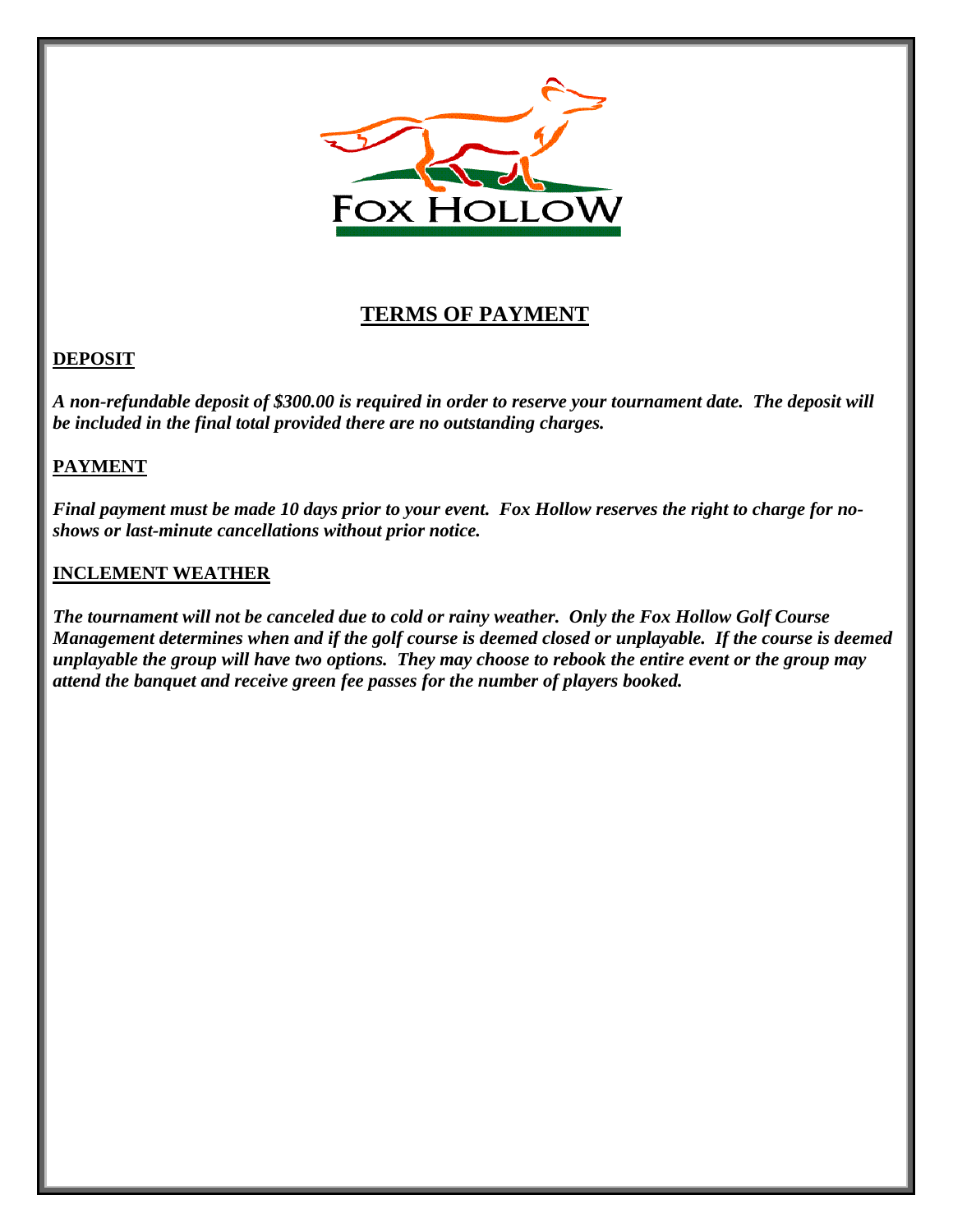

## **TERMS OF PAYMENT**

### **DEPOSIT**

*A non-refundable deposit of \$300.00 is required in order to reserve your tournament date. The deposit will be included in the final total provided there are no outstanding charges.*

### **PAYMENT**

*Final payment must be made 10 days prior to your event. Fox Hollow reserves the right to charge for noshows or last-minute cancellations without prior notice.*

### **INCLEMENT WEATHER**

*The tournament will not be canceled due to cold or rainy weather. Only the Fox Hollow Golf Course Management determines when and if the golf course is deemed closed or unplayable. If the course is deemed unplayable the group will have two options. They may choose to rebook the entire event or the group may attend the banquet and receive green fee passes for the number of players booked.*